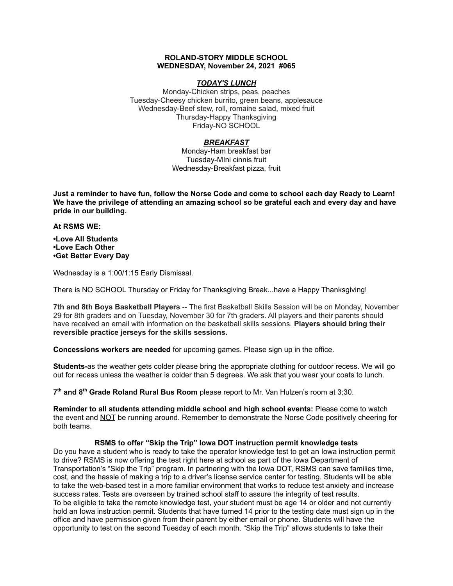## **ROLAND-STORY MIDDLE SCHOOL WEDNESDAY, November 24, 2021 #065**

# *TODAY'S LUNCH*

Monday-Chicken strips, peas, peaches Tuesday-Cheesy chicken burrito, green beans, applesauce Wednesday-Beef stew, roll, romaine salad, mixed fruit Thursday-Happy Thanksgiving Friday-NO SCHOOL

# *BREAKFAST*

Monday-Ham breakfast bar Tuesday-MIni cinnis fruit Wednesday-Breakfast pizza, fruit

Just a reminder to have fun, follow the Norse Code and come to school each day Ready to Learn! **We have the privilege of attending an amazing school so be grateful each and every day and have pride in our building.**

#### **At RSMS WE:**

**•Love All Students •Love Each Other •Get Better Every Day**

Wednesday is a 1:00/1:15 Early Dismissal.

There is NO SCHOOL Thursday or Friday for Thanksgiving Break...have a Happy Thanksgiving!

**7th and 8th Boys Basketball Players** -- The first Basketball Skills Session will be on Monday, November 29 for 8th graders and on Tuesday, November 30 for 7th graders. All players and their parents should have received an email with information on the basketball skills sessions. **Players should bring their reversible practice jerseys for the skills sessions.**

**Concessions workers are needed** for upcoming games. Please sign up in the office.

**Students-**as the weather gets colder please bring the appropriate clothing for outdoor recess. We will go out for recess unless the weather is colder than 5 degrees. We ask that you wear your coats to lunch.

**7 th and 8 th Grade Roland Rural Bus Room** please report to Mr. Van Hulzen's room at 3:30.

**Reminder to all students attending middle school and high school events:** Please come to watch the event and NOT be running around. Remember to demonstrate the Norse Code positively cheering for both teams.

## **RSMS to offer "Skip the Trip" Iowa DOT instruction permit knowledge tests**

Do you have a student who is ready to take the operator knowledge test to get an Iowa instruction permit to drive? RSMS is now offering the test right here at school as part of the Iowa Department of Transportation's "Skip the Trip" program. In partnering with the Iowa DOT, RSMS can save families time, cost, and the hassle of making a trip to a driver's license service center for testing. Students will be able to take the web-based test in a more familiar environment that works to reduce test anxiety and increase success rates. Tests are overseen by trained school staff to assure the integrity of test results. To be eligible to take the remote knowledge test, your student must be age 14 or older and not currently hold an Iowa instruction permit. Students that have turned 14 prior to the testing date must sign up in the office and have permission given from their parent by either email or phone. Students will have the opportunity to test on the second Tuesday of each month. "Skip the Trip" allows students to take their